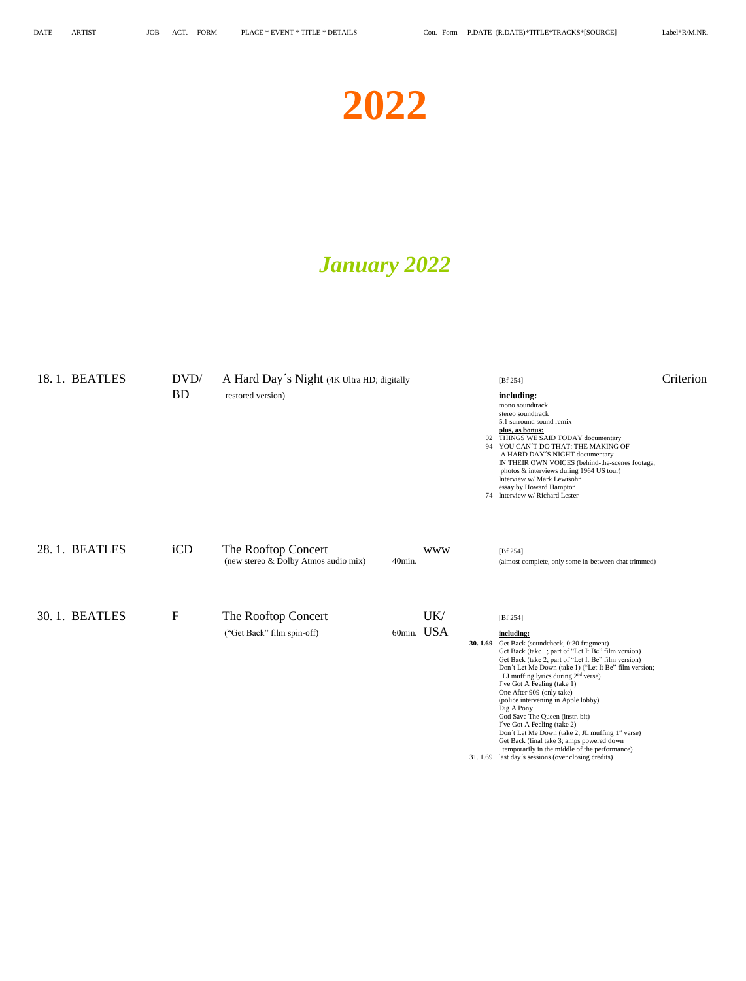# **2022**

## *January 2022*

| 18.1. BEATLES | DVD/        | A Hard Day's Night (4K Ultra HD; digitally                  |        |                   | [Bf 254]                                                                                                                                                                                                                                                                                                                                                                                                                                                                                                                                                                                                                                                                                      | Criterion |
|---------------|-------------|-------------------------------------------------------------|--------|-------------------|-----------------------------------------------------------------------------------------------------------------------------------------------------------------------------------------------------------------------------------------------------------------------------------------------------------------------------------------------------------------------------------------------------------------------------------------------------------------------------------------------------------------------------------------------------------------------------------------------------------------------------------------------------------------------------------------------|-----------|
|               | <b>BD</b>   | restored version)                                           |        |                   | including:<br>mono soundtrack<br>stereo soundtrack<br>5.1 surround sound remix<br>plus, as bonus:<br>02 THINGS WE SAID TODAY documentary<br>94 YOU CAN'T DO THAT: THE MAKING OF<br>A HARD DAY'S NIGHT documentary<br>IN THEIR OWN VOICES (behind-the-scenes footage,<br>photos & interviews during 1964 US tour)<br>Interview w/ Mark Lewisohn<br>essay by Howard Hampton<br>74 Interview w/ Richard Lester                                                                                                                                                                                                                                                                                   |           |
| 28.1. BEATLES | iCD         | The Rooftop Concert<br>(new stereo & Dolby Atmos audio mix) | 40min. | <b>WWW</b>        | [ $Bf 254$ ]<br>(almost complete, only some in-between chat trimmed)                                                                                                                                                                                                                                                                                                                                                                                                                                                                                                                                                                                                                          |           |
| 30.1. BEATLES | $\mathbf F$ | The Rooftop Concert<br>("Get Back" film spin-off)           |        | UK/<br>60min. USA | [Bf 254]<br>including:<br>30.1.69 Get Back (soundcheck, 0:30 fragment)<br>Get Back (take 1; part of "Let It Be" film version)<br>Get Back (take 2; part of "Let It Be" film version)<br>Don't Let Me Down (take 1) ("Let It Be" film version;<br>LJ muffing lyrics during $2nd$ verse)<br>I've Got A Feeling (take 1)<br>One After 909 (only take)<br>(police intervening in Apple lobby)<br>Dig A Pony<br>God Save The Queen (instr. bit)<br>I've Got A Feeling (take 2)<br>Don't Let Me Down (take 2; JL muffing 1 <sup>st</sup> verse)<br>Get Back (final take 3; amps powered down<br>temporarily in the middle of the performance)<br>31.1.69 last day's sessions (over closing credits) |           |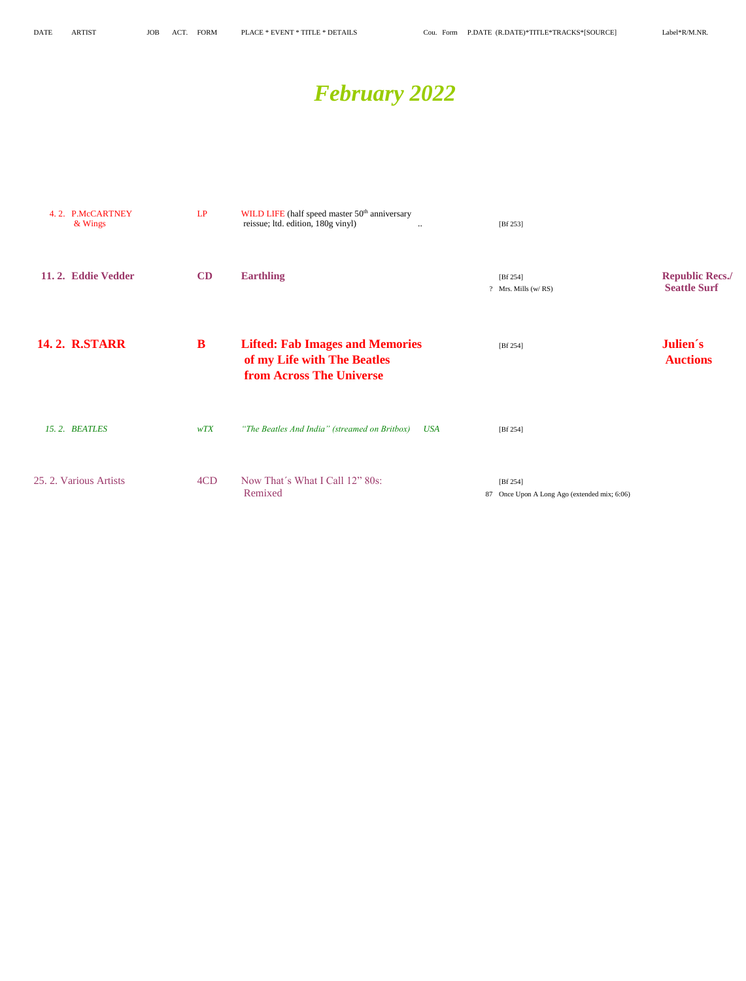# *February 2022*

| 4.2. P.McCARTNEY<br>& Wings | LP  | WILD LIFE (half speed master 50 <sup>th</sup> anniversary<br>reissue; ltd. edition, 180g vinyl)<br>$\ddotsc$ | [Bf 253]                                                 |                                               |
|-----------------------------|-----|--------------------------------------------------------------------------------------------------------------|----------------------------------------------------------|-----------------------------------------------|
| 11.2. Eddie Vedder          | CD  | <b>Earthling</b>                                                                                             | [Bf 254]<br>? Mrs. Mills (w/RS)                          | <b>Republic Recs./</b><br><b>Seattle Surf</b> |
| <b>14.2. R.STARR</b>        | B   | <b>Lifted: Fab Images and Memories</b><br>of my Life with The Beatles<br><b>from Across The Universe</b>     | [Bf 254]                                                 | Julien's<br><b>Auctions</b>                   |
| 15.2. BEATLES               | wTX | "The Beatles And India" (streamed on Britbox)<br><b>USA</b>                                                  | [Bf 254]                                                 |                                               |
| 25. 2. Various Artists      | 4CD | Now That's What I Call 12" 80s:<br>Remixed                                                                   | [Bf 254]<br>87 Once Upon A Long Ago (extended mix; 6:06) |                                               |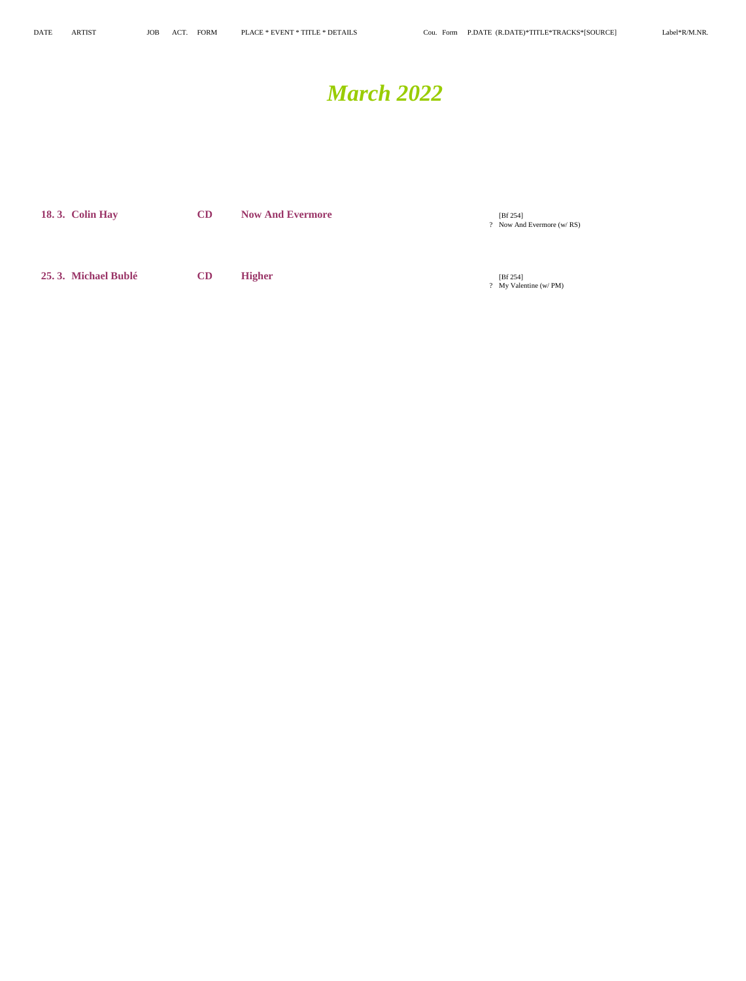## *March 2022*

| <b>18.3. Colin Hay</b> | <b>CD</b> | <b>Now And Evermore</b> | [Bf 254]<br>? Now And Evermore (w/RS) |
|------------------------|-----------|-------------------------|---------------------------------------|
| 25.3. Michael Bublé    | CD        | <b>Higher</b>           | [Bf 254]<br>? My Valentine (w/ PM)    |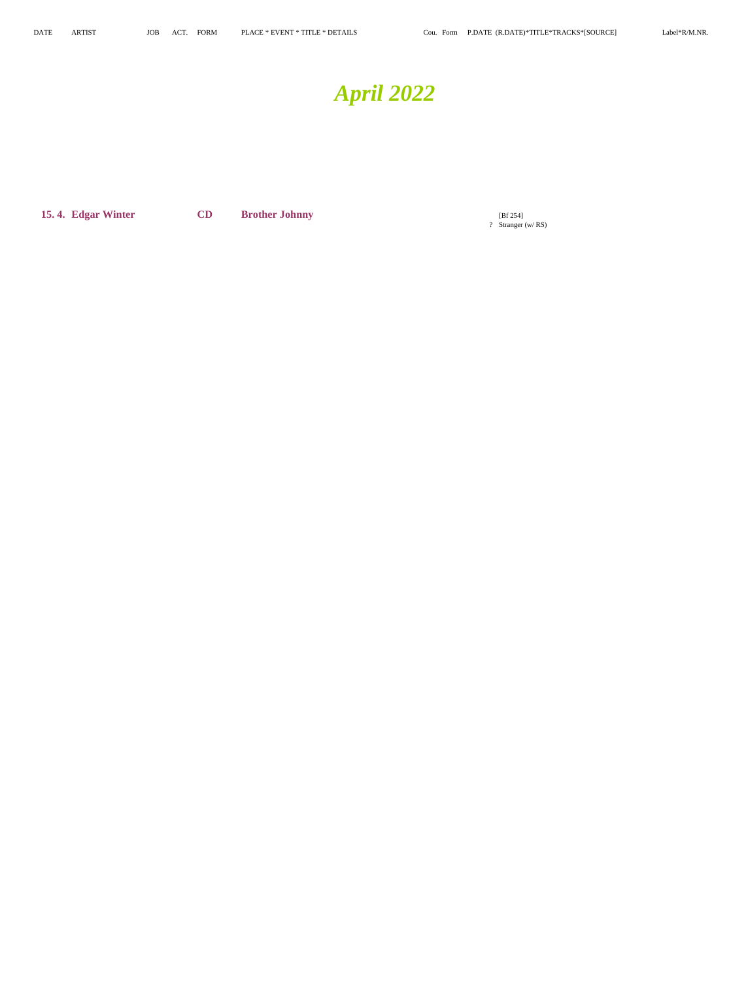# *April 2022*

**15. 4. Edgar Winter CD Brother Johnny** 

? Stranger (w/ RS)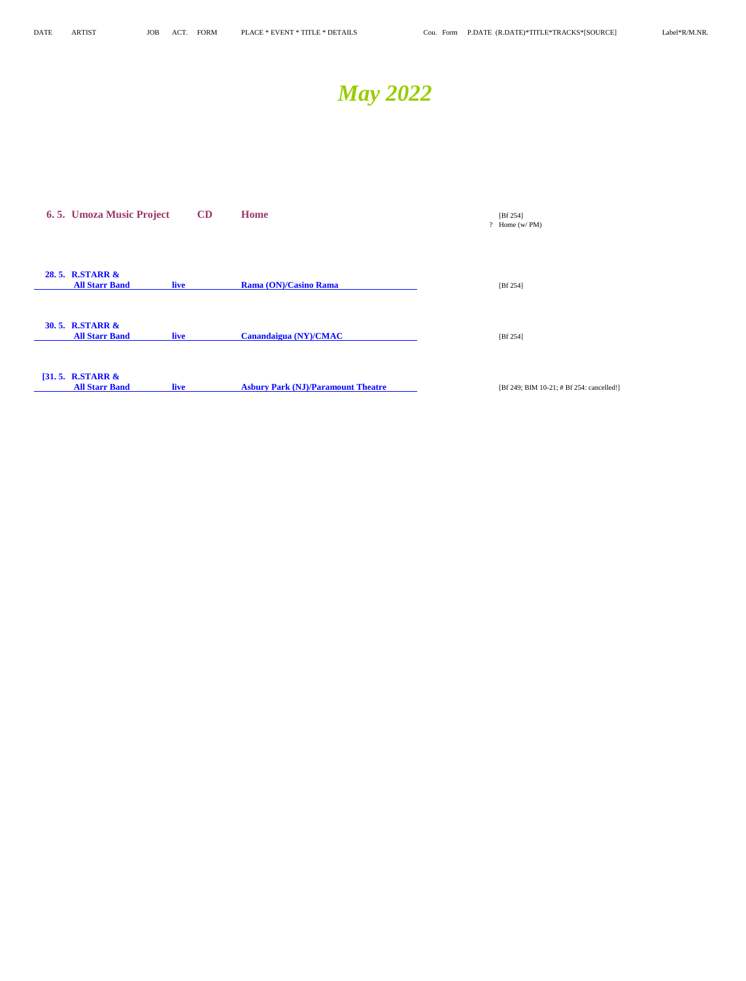# *May 2022*

| 6.5. Umoza Music Project                            | CD          | <b>Home</b>                               | [ $Bf 254$ ]<br>? Home $(w/PM)$           |
|-----------------------------------------------------|-------------|-------------------------------------------|-------------------------------------------|
| 28.5. R.STARR &<br><b>All Starr Band</b>            | <b>live</b> | Rama (ON)/Casino Rama                     | [Bf 254]                                  |
| <b>30.5. R.STARR &amp;</b><br><b>All Starr Band</b> | <b>live</b> | Canandaigua (NY)/CMAC                     | [ $Bf 254$ ]                              |
| [31.5. R.STARR $\&$<br><b>All Starr Band</b>        | <b>live</b> | <b>Asbury Park (NJ)/Paramount Theatre</b> | [Bf 249; BIM 10-21; # Bf 254: cancelled!] |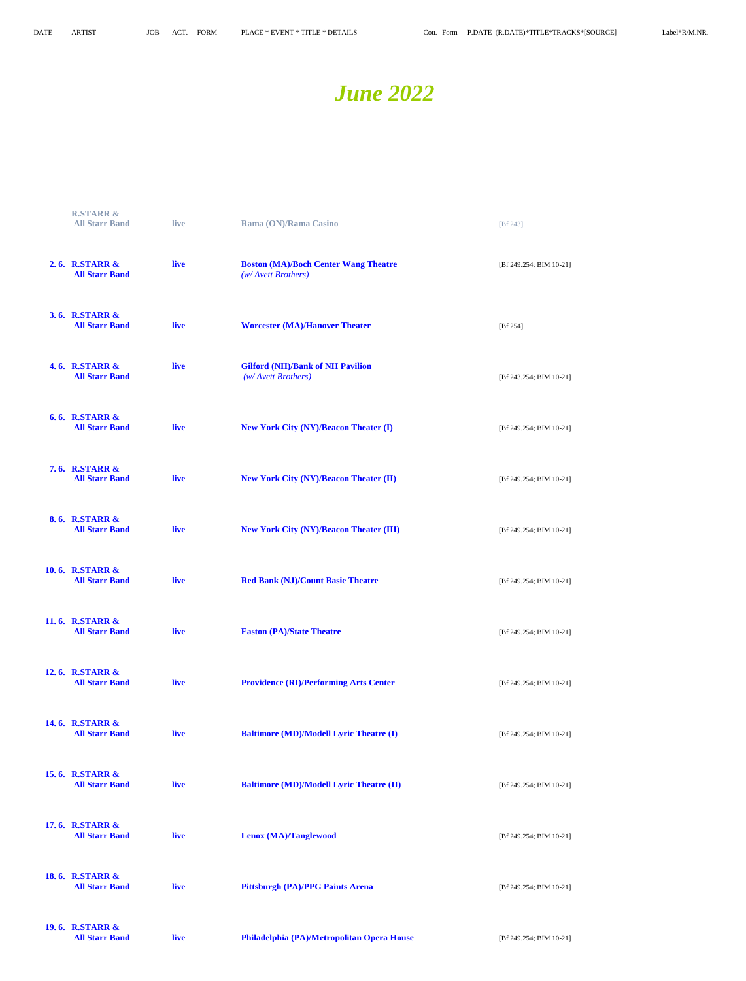## *June 2022*

| <b>R.STARR &amp;</b>                     |      |                                                                    |                         |
|------------------------------------------|------|--------------------------------------------------------------------|-------------------------|
| <b>All Starr Band</b>                    | live | Rama (ON)/Rama Casino                                              | [Bf 243]                |
|                                          |      |                                                                    |                         |
|                                          |      |                                                                    |                         |
| 2.6. R.STARR &<br><b>All Starr Band</b>  | live | <b>Boston (MA)/Boch Center Wang Theatre</b><br>(w/ Avett Brothers) | [Bf 249.254; BIM 10-21] |
|                                          |      |                                                                    |                         |
|                                          |      |                                                                    |                         |
| 3.6. R.STARR &                           |      |                                                                    |                         |
| <b>All Starr Band</b>                    | live | <b>Worcester (MA)/Hanover Theater</b>                              | [Bf 254]                |
|                                          |      |                                                                    |                         |
|                                          |      |                                                                    |                         |
| <b>4.6. R.STARR &amp;</b>                | live | <b>Gilford (NH)/Bank of NH Pavilion</b>                            |                         |
| <b>All Starr Band</b>                    |      | (w/Avett Brothers)                                                 | [Bf 243.254; BIM 10-21] |
|                                          |      |                                                                    |                         |
|                                          |      |                                                                    |                         |
| <b>6.6. R.STARR &amp;</b>                |      |                                                                    |                         |
| <b>All Starr Band</b>                    | live | <b>New York City (NY)/Beacon Theater (I)</b>                       | [Bf 249.254; BIM 10-21] |
|                                          |      |                                                                    |                         |
|                                          |      |                                                                    |                         |
| <b>7.6. R.STARR &amp;</b>                |      |                                                                    |                         |
| <b>All Starr Band</b>                    | live | <b>New York City (NY)/Beacon Theater (II)</b>                      | [Bf 249.254; BIM 10-21] |
|                                          |      |                                                                    |                         |
|                                          |      |                                                                    |                         |
| 8.6. R.STARR &                           |      |                                                                    |                         |
| <b>All Starr Band</b>                    | live | <b>New York City (NY)/Beacon Theater (III)</b>                     | [Bf 249.254; BIM 10-21] |
|                                          |      |                                                                    |                         |
|                                          |      |                                                                    |                         |
| 10.6. R.STARR &                          |      |                                                                    |                         |
| <b>All Starr Band</b>                    | live | <b>Red Bank (NJ)/Count Basie Theatre</b>                           | [Bf 249.254; BIM 10-21] |
|                                          |      |                                                                    |                         |
|                                          |      |                                                                    |                         |
| 11.6. R.STARR &                          |      |                                                                    |                         |
| <b>All Starr Band</b>                    | live | <b>Easton (PA)/State Theatre</b>                                   | [Bf 249.254; BIM 10-21] |
|                                          |      |                                                                    |                         |
|                                          |      |                                                                    |                         |
| 12.6. R.STARR &<br><b>All Starr Band</b> |      | <b>Providence (RI)/Performing Arts Center</b>                      |                         |
|                                          | live |                                                                    | [Bf 249.254; BIM 10-21] |
|                                          |      |                                                                    |                         |
|                                          |      |                                                                    |                         |
| 14.6. R.STARR &<br><b>All Starr Band</b> | live | <b>Baltimore (MD)/Modell Lyric Theatre (I)</b>                     | [Bf 249.254; BIM 10-21] |
|                                          |      |                                                                    |                         |
|                                          |      |                                                                    |                         |
| 15.6. R.STARR &                          |      |                                                                    |                         |
| <b>All Starr Band</b>                    | live | <b>Baltimore (MD)/Modell Lyric Theatre (II)</b>                    | [Bf 249.254; BIM 10-21] |
|                                          |      |                                                                    |                         |
|                                          |      |                                                                    |                         |
| 17.6. R.STARR &                          |      |                                                                    |                         |
| <b>All Starr Band</b>                    | live | <b>Lenox (MA)/Tanglewood</b>                                       | [Bf 249.254; BIM 10-21] |
|                                          |      |                                                                    |                         |
|                                          |      |                                                                    |                         |
| <b>18.6. R.STARR &amp;</b>               |      |                                                                    |                         |
| <b>All Starr Band</b>                    | live | <b>Pittsburgh (PA)/PPG Paints Arena</b>                            | [Bf 249.254; BIM 10-21] |
|                                          |      |                                                                    |                         |

**19. 6. R.STARR &**

**<u>live</u> <b>Philadelphia (PA)/Metropolitan Opera House** [Bf 249.254; BIM 10-21]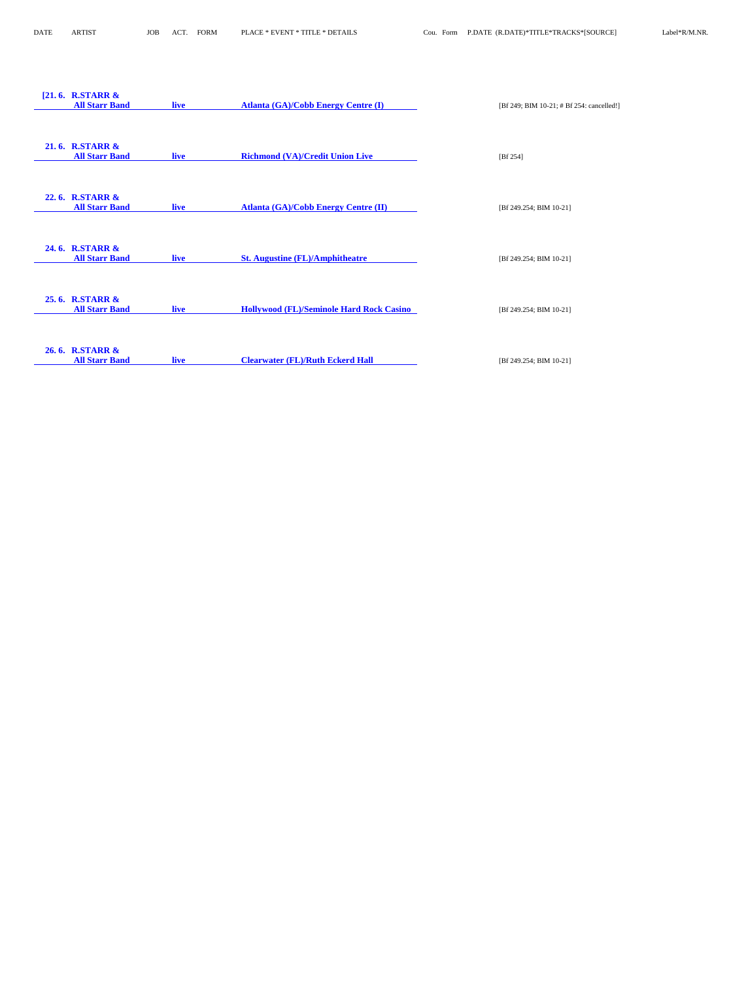| [21.6. RSTARR &<br><b>All Starr Band</b> | <b>live</b> | <b>Atlanta (GA)/Cobb Energy Centre (I)</b>      | [Bf 249; BIM 10-21; # Bf 254: cancelled!] |
|------------------------------------------|-------------|-------------------------------------------------|-------------------------------------------|
| 21.6. R.STARR &<br><b>All Starr Band</b> | <b>live</b> | <b>Richmond (VA)/Credit Union Live</b>          | [ $Bf 254$ ]                              |
| 22.6. R.STARR &<br><b>All Starr Band</b> | <b>live</b> | <b>Atlanta (GA)/Cobb Energy Centre (II)</b>     | [Bf 249.254; BIM 10-21]                   |
| 24.6. R.STARR &<br><b>All Starr Band</b> | live        | <b>St. Augustine (FL)/Amphitheatre</b>          | [Bf 249.254; BIM 10-21]                   |
| 25.6. R.STARR &<br><b>All Starr Band</b> | <b>live</b> | <b>Hollywood (FL)/Seminole Hard Rock Casino</b> | [Bf 249.254; BIM 10-21]                   |
| 26.6. R.STARR &<br><b>All Starr Band</b> | <b>live</b> | <b>Clearwater (FL)/Ruth Eckerd Hall</b>         | [Bf 249.254; BIM 10-21]                   |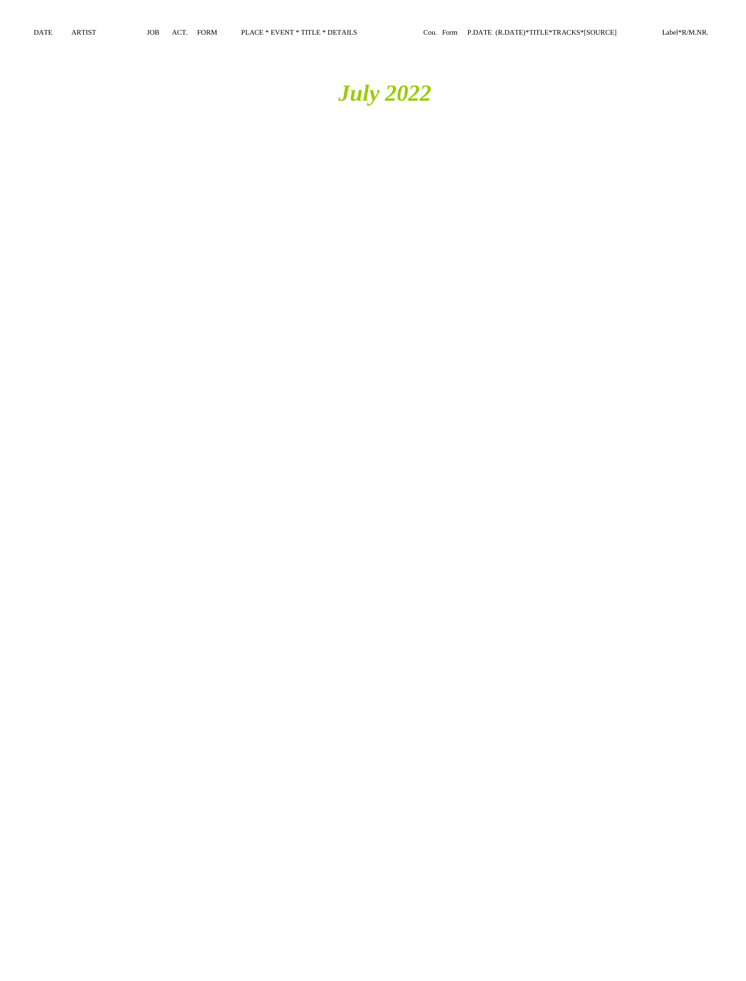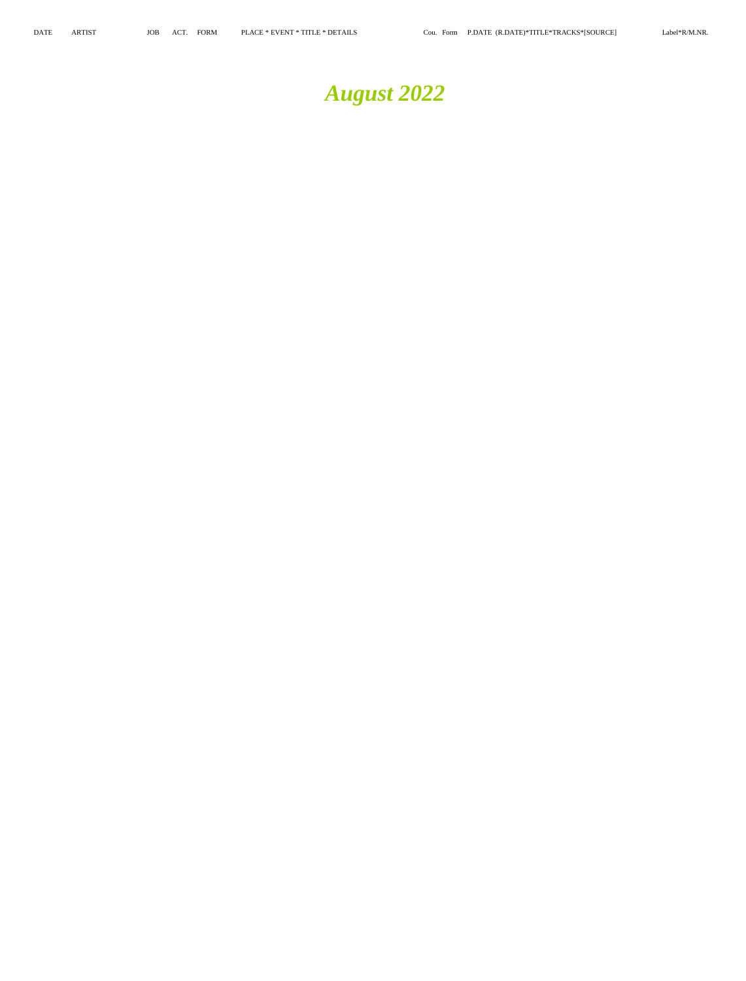# *August 2022*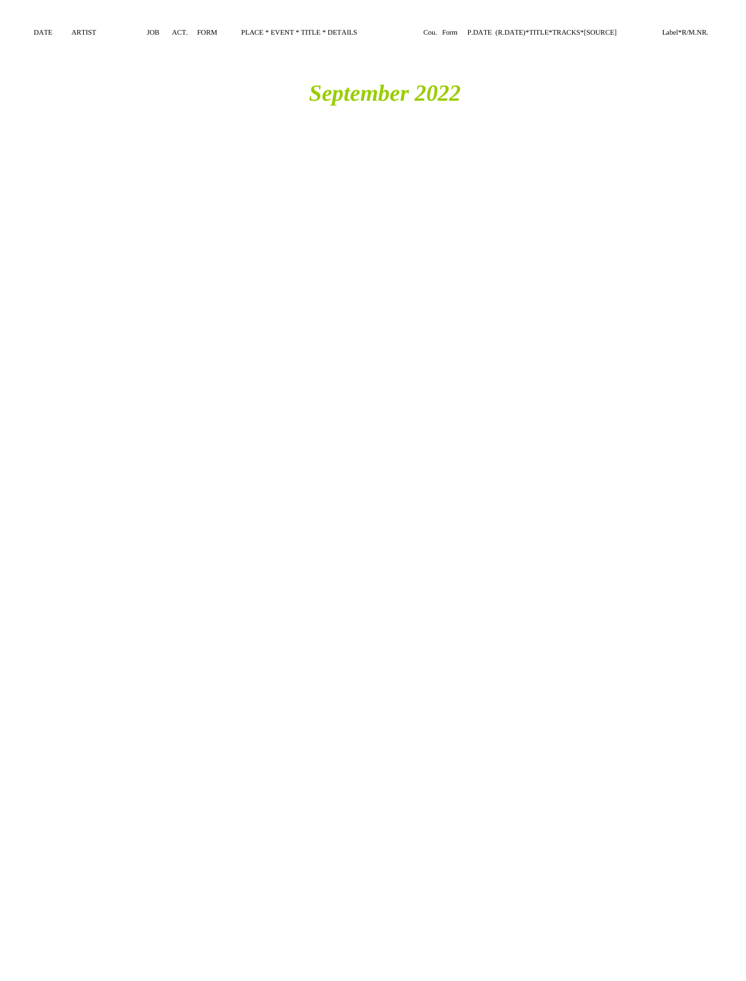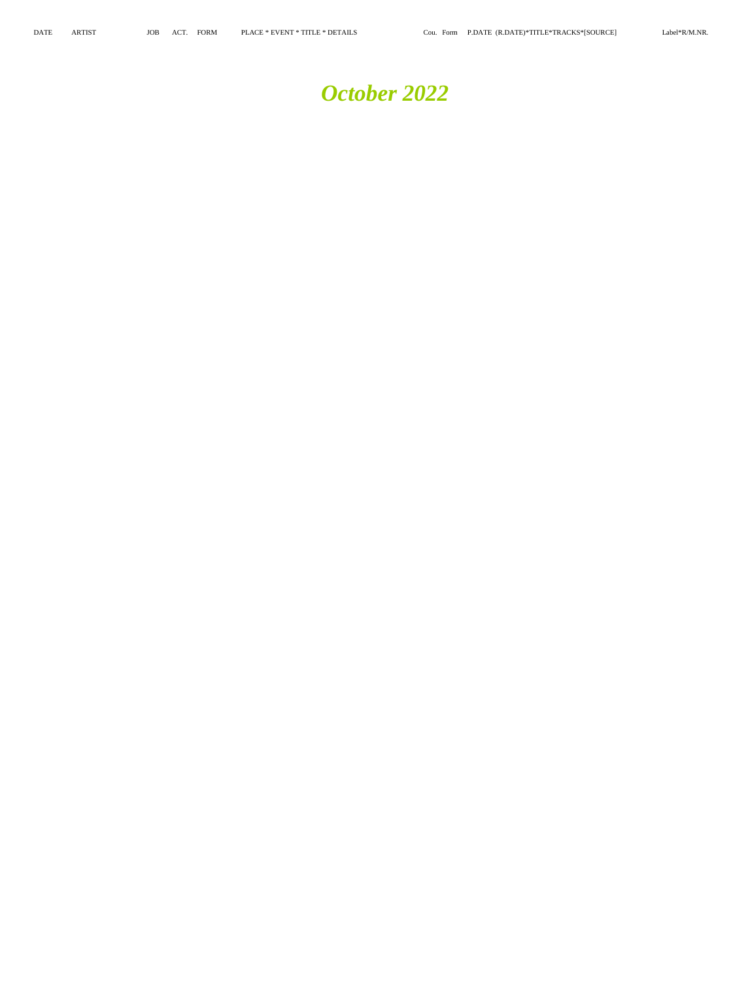## *October 2022*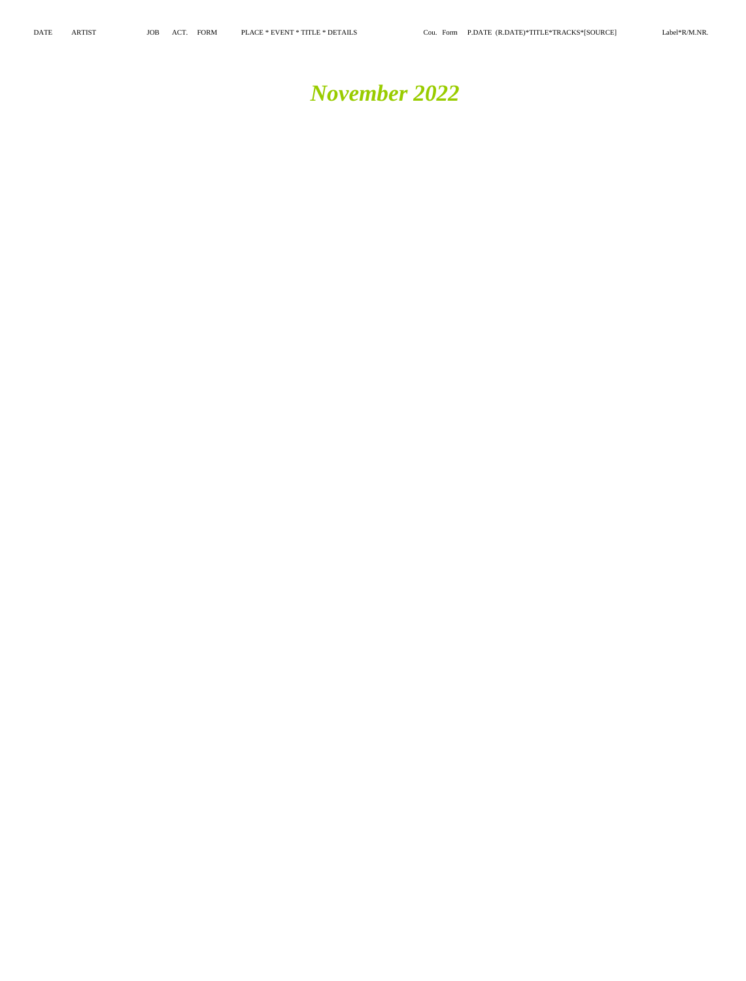## *November 2022*